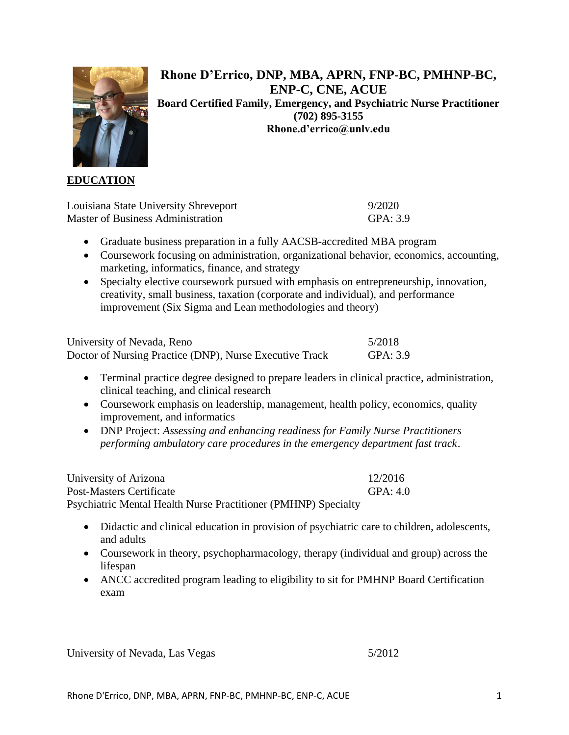

**Rhone D'Errico, DNP, MBA, APRN, FNP-BC, PMHNP-BC, ENP-C, CNE, ACUE Board Certified Family, Emergency, and Psychiatric Nurse Practitioner (702) 895-3155 Rhone.d'errico@unlv.edu**

### **EDUCATION**

| Louisiana State University Shreveport    | 9/2020   |
|------------------------------------------|----------|
| <b>Master of Business Administration</b> | GPA: 3.9 |

- Graduate business preparation in a fully AACSB-accredited MBA program
- Coursework focusing on administration, organizational behavior, economics, accounting, marketing, informatics, finance, and strategy
- Specialty elective coursework pursued with emphasis on entrepreneurship, innovation, creativity, small business, taxation (corporate and individual), and performance improvement (Six Sigma and Lean methodologies and theory)

| University of Nevada, Reno                              | 5/2018   |
|---------------------------------------------------------|----------|
| Doctor of Nursing Practice (DNP), Nurse Executive Track | GPA: 3.9 |

- Terminal practice degree designed to prepare leaders in clinical practice, administration, clinical teaching, and clinical research
- Coursework emphasis on leadership, management, health policy, economics, quality improvement, and informatics
- DNP Project: *Assessing and enhancing readiness for Family Nurse Practitioners performing ambulatory care procedures in the emergency department fast track*.

University of Arizona 12/2016 Post-Masters Certificate GPA: 4.0 Psychiatric Mental Health Nurse Practitioner (PMHNP) Specialty

- Didactic and clinical education in provision of psychiatric care to children, adolescents, and adults
- Coursework in theory, psychopharmacology, therapy (individual and group) across the lifespan
- ANCC accredited program leading to eligibility to sit for PMHNP Board Certification exam

University of Nevada, Las Vegas 5/2012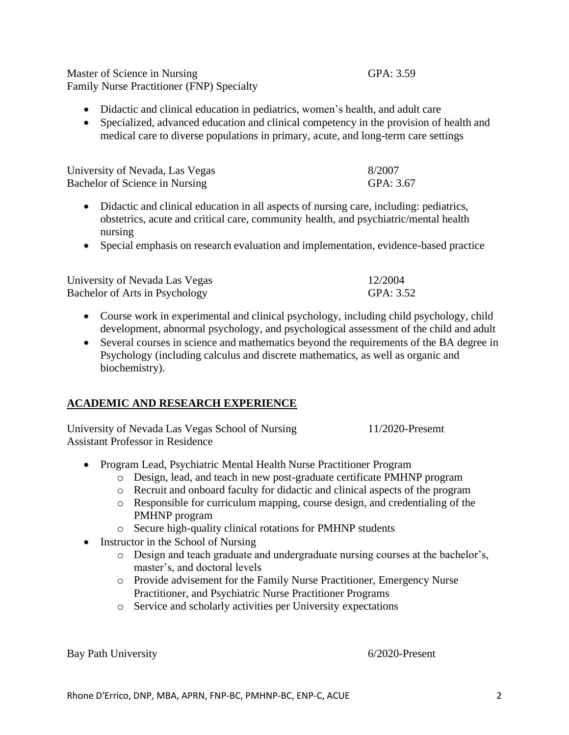Master of Science in Nursing GPA: 3.59 Family Nurse Practitioner (FNP) Specialty

- Didactic and clinical education in pediatrics, women's health, and adult care
- Specialized, advanced education and clinical competency in the provision of health and medical care to diverse populations in primary, acute, and long-term care settings

| University of Nevada, Las Vegas | 8/2007    |
|---------------------------------|-----------|
| Bachelor of Science in Nursing  | GPA: 3.67 |

- Didactic and clinical education in all aspects of nursing care, including: pediatrics, obstetrics, acute and critical care, community health, and psychiatric/mental health nursing
- Special emphasis on research evaluation and implementation, evidence-based practice

| University of Nevada Las Vegas | 12/2004   |
|--------------------------------|-----------|
| Bachelor of Arts in Psychology | GPA: 3.52 |

- Course work in experimental and clinical psychology, including child psychology, child development, abnormal psychology, and psychological assessment of the child and adult
- Several courses in science and mathematics beyond the requirements of the BA degree in Psychology (including calculus and discrete mathematics, as well as organic and biochemistry).

## **ACADEMIC AND RESEARCH EXPERIENCE**

University of Nevada Las Vegas School of Nursing 11/2020-Presemt Assistant Professor in Residence

- Program Lead, Psychiatric Mental Health Nurse Practitioner Program
	- o Design, lead, and teach in new post-graduate certificate PMHNP program
	- o Recruit and onboard faculty for didactic and clinical aspects of the program
	- o Responsible for curriculum mapping, course design, and credentialing of the PMHNP program
	- o Secure high-quality clinical rotations for PMHNP students
- Instructor in the School of Nursing
	- o Design and teach graduate and undergraduate nursing courses at the bachelor's, master's, and doctoral levels
	- o Provide advisement for the Family Nurse Practitioner, Emergency Nurse Practitioner, and Psychiatric Nurse Practitioner Programs
	- o Service and scholarly activities per University expectations

Bay Path University 6/2020-Present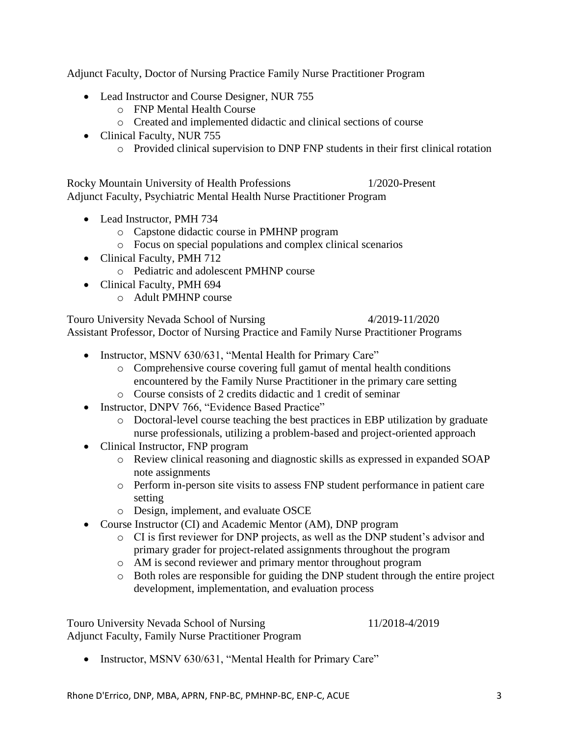Adjunct Faculty, Doctor of Nursing Practice Family Nurse Practitioner Program

- Lead Instructor and Course Designer, NUR 755
	- o FNP Mental Health Course
	- o Created and implemented didactic and clinical sections of course
- Clinical Faculty, NUR 755
	- o Provided clinical supervision to DNP FNP students in their first clinical rotation

Rocky Mountain University of Health Professions 1/2020-Present Adjunct Faculty, Psychiatric Mental Health Nurse Practitioner Program

- Lead Instructor, PMH 734
	- o Capstone didactic course in PMHNP program
	- o Focus on special populations and complex clinical scenarios
- Clinical Faculty, PMH 712
	- o Pediatric and adolescent PMHNP course
- Clinical Faculty, PMH 694
	- o Adult PMHNP course

Touro University Nevada School of Nursing 4/2019-11/2020 Assistant Professor, Doctor of Nursing Practice and Family Nurse Practitioner Programs

- Instructor, MSNV 630/631, "Mental Health for Primary Care"
	- o Comprehensive course covering full gamut of mental health conditions encountered by the Family Nurse Practitioner in the primary care setting
	- o Course consists of 2 credits didactic and 1 credit of seminar
- Instructor, DNPV 766, "Evidence Based Practice"
	- o Doctoral-level course teaching the best practices in EBP utilization by graduate nurse professionals, utilizing a problem-based and project-oriented approach
- Clinical Instructor, FNP program
	- o Review clinical reasoning and diagnostic skills as expressed in expanded SOAP note assignments
	- o Perform in-person site visits to assess FNP student performance in patient care setting
	- o Design, implement, and evaluate OSCE
- Course Instructor (CI) and Academic Mentor (AM), DNP program
	- o CI is first reviewer for DNP projects, as well as the DNP student's advisor and primary grader for project-related assignments throughout the program
	- o AM is second reviewer and primary mentor throughout program
	- o Both roles are responsible for guiding the DNP student through the entire project development, implementation, and evaluation process

Touro University Nevada School of Nursing 11/2018-4/2019 Adjunct Faculty, Family Nurse Practitioner Program

• Instructor, MSNV 630/631, "Mental Health for Primary Care"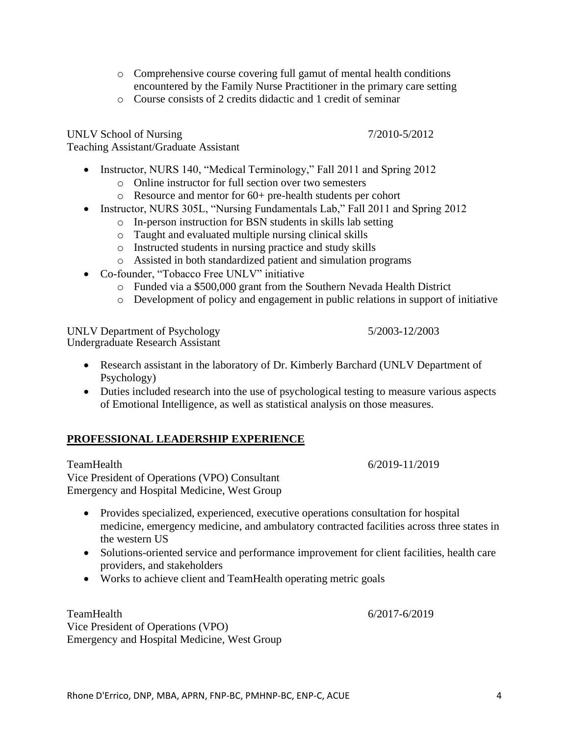- o Comprehensive course covering full gamut of mental health conditions encountered by the Family Nurse Practitioner in the primary care setting
- o Course consists of 2 credits didactic and 1 credit of seminar

UNLV School of Nursing 7/2010-5/2012 Teaching Assistant/Graduate Assistant

- Instructor, NURS 140, "Medical Terminology," Fall 2011 and Spring 2012
	- o Online instructor for full section over two semesters
	- o Resource and mentor for 60+ pre-health students per cohort
- Instructor, NURS 305L, "Nursing Fundamentals Lab," Fall 2011 and Spring 2012
	- o In-person instruction for BSN students in skills lab setting
	- o Taught and evaluated multiple nursing clinical skills
	- o Instructed students in nursing practice and study skills
	- o Assisted in both standardized patient and simulation programs
- Co-founder, "Tobacco Free UNLV" initiative
	- o Funded via a \$500,000 grant from the Southern Nevada Health District
	- o Development of policy and engagement in public relations in support of initiative

UNLV Department of Psychology 5/2003-12/2003 Undergraduate Research Assistant

- Research assistant in the laboratory of Dr. Kimberly Barchard (UNLV Department of Psychology)
- Duties included research into the use of psychological testing to measure various aspects of Emotional Intelligence, as well as statistical analysis on those measures.

## **PROFESSIONAL LEADERSHIP EXPERIENCE**

TeamHealth 6/2019-11/2019 Vice President of Operations (VPO) Consultant Emergency and Hospital Medicine, West Group

- Provides specialized, experienced, executive operations consultation for hospital medicine, emergency medicine, and ambulatory contracted facilities across three states in the western US
- Solutions-oriented service and performance improvement for client facilities, health care providers, and stakeholders
- Works to achieve client and TeamHealth operating metric goals

TeamHealth 6/2017-6/2019 Vice President of Operations (VPO) Emergency and Hospital Medicine, West Group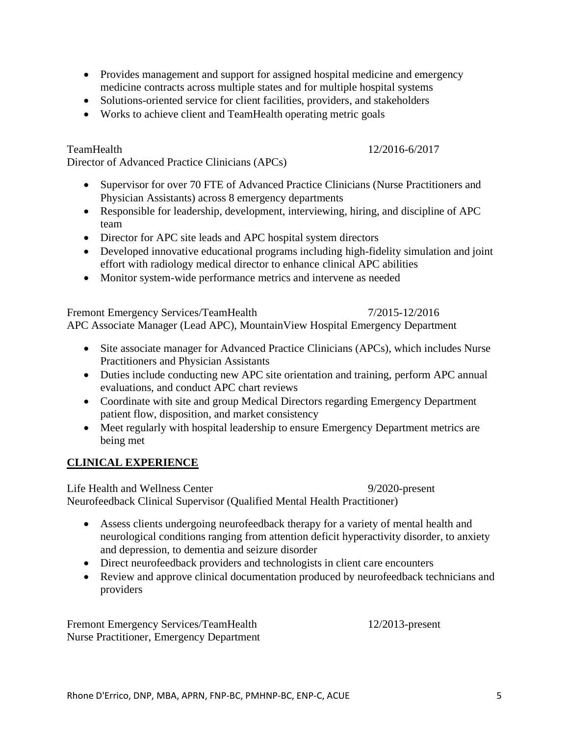- Provides management and support for assigned hospital medicine and emergency medicine contracts across multiple states and for multiple hospital systems
- Solutions-oriented service for client facilities, providers, and stakeholders
- Works to achieve client and TeamHealth operating metric goals

Director of Advanced Practice Clinicians (APCs)

- Supervisor for over 70 FTE of Advanced Practice Clinicians (Nurse Practitioners and Physician Assistants) across 8 emergency departments
- Responsible for leadership, development, interviewing, hiring, and discipline of APC team
- Director for APC site leads and APC hospital system directors
- Developed innovative educational programs including high-fidelity simulation and joint effort with radiology medical director to enhance clinical APC abilities
- Monitor system-wide performance metrics and intervene as needed

Fremont Emergency Services/TeamHealth 7/2015-12/2016

APC Associate Manager (Lead APC), MountainView Hospital Emergency Department

- Site associate manager for Advanced Practice Clinicians (APCs), which includes Nurse Practitioners and Physician Assistants
- Duties include conducting new APC site orientation and training, perform APC annual evaluations, and conduct APC chart reviews
- Coordinate with site and group Medical Directors regarding Emergency Department patient flow, disposition, and market consistency
- Meet regularly with hospital leadership to ensure Emergency Department metrics are being met

## **CLINICAL EXPERIENCE**

Life Health and Wellness Center 9/2020-present Neurofeedback Clinical Supervisor (Qualified Mental Health Practitioner)

- Assess clients undergoing neurofeedback therapy for a variety of mental health and neurological conditions ranging from attention deficit hyperactivity disorder, to anxiety and depression, to dementia and seizure disorder
- Direct neurofeedback providers and technologists in client care encounters
- Review and approve clinical documentation produced by neurofeedback technicians and providers

Fremont Emergency Services/TeamHealth 12/2013-present Nurse Practitioner, Emergency Department

TeamHealth 12/2016-6/2017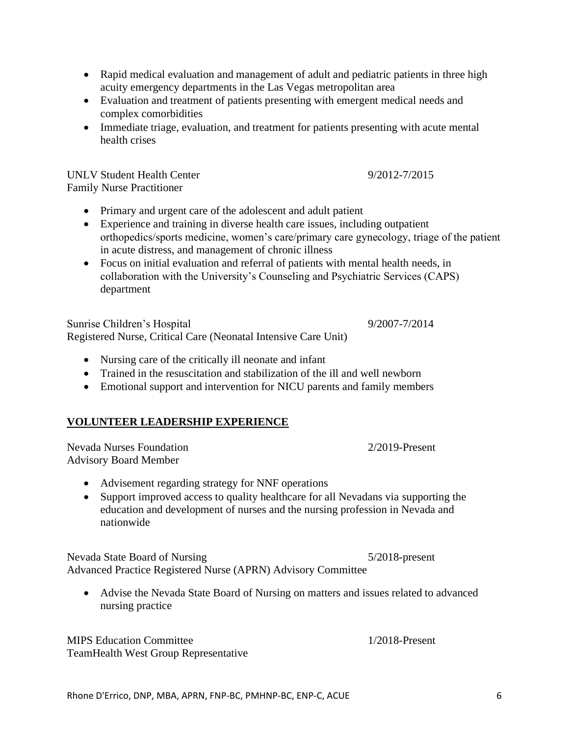- Rapid medical evaluation and management of adult and pediatric patients in three high acuity emergency departments in the Las Vegas metropolitan area
- Evaluation and treatment of patients presenting with emergent medical needs and complex comorbidities
- Immediate triage, evaluation, and treatment for patients presenting with acute mental health crises

UNLV Student Health Center 6 and 100 minutes of 12012-7/2015 Family Nurse Practitioner

- Primary and urgent care of the adolescent and adult patient
- Experience and training in diverse health care issues, including outpatient orthopedics/sports medicine, women's care/primary care gynecology, triage of the patient in acute distress, and management of chronic illness
- Focus on initial evaluation and referral of patients with mental health needs, in collaboration with the University's Counseling and Psychiatric Services (CAPS) department

Sunrise Children's Hospital 9/2007-7/2014 Registered Nurse, Critical Care (Neonatal Intensive Care Unit)

- Nursing care of the critically ill neonate and infant
- Trained in the resuscitation and stabilization of the ill and well newborn
- Emotional support and intervention for NICU parents and family members

## **VOLUNTEER LEADERSHIP EXPERIENCE**

Nevada Nurses Foundation 2/2019-Present Advisory Board Member

- Advisement regarding strategy for NNF operations
- Support improved access to quality healthcare for all Nevadans via supporting the education and development of nurses and the nursing profession in Nevada and nationwide

Nevada State Board of Nursing 5/2018-present Advanced Practice Registered Nurse (APRN) Advisory Committee

• Advise the Nevada State Board of Nursing on matters and issues related to advanced nursing practice

MIPS Education Committee 1/2018-Present TeamHealth West Group Representative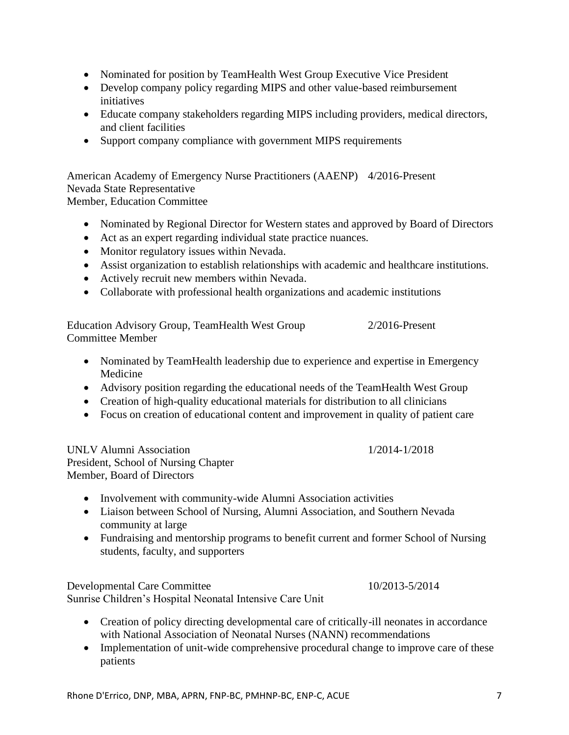• Educate company stakeholders regarding MIPS including providers, medical directors, and client facilities

• Nominated for position by TeamHealth West Group Executive Vice President • Develop company policy regarding MIPS and other value-based reimbursement

• Support company compliance with government MIPS requirements

American Academy of Emergency Nurse Practitioners (AAENP) 4/2016-Present Nevada State Representative Member, Education Committee

- Nominated by Regional Director for Western states and approved by Board of Directors
- Act as an expert regarding individual state practice nuances.
- Monitor regulatory issues within Nevada.

initiatives

- Assist organization to establish relationships with academic and healthcare institutions.
- Actively recruit new members within Nevada.
- Collaborate with professional health organizations and academic institutions

Education Advisory Group, TeamHealth West Group 2/2016-Present Committee Member

- Nominated by TeamHealth leadership due to experience and expertise in Emergency Medicine
- Advisory position regarding the educational needs of the TeamHealth West Group
- Creation of high-quality educational materials for distribution to all clinicians
- Focus on creation of educational content and improvement in quality of patient care

UNLV Alumni Association 1/2014-1/2018 President, School of Nursing Chapter Member, Board of Directors

- Involvement with community-wide Alumni Association activities
- Liaison between School of Nursing, Alumni Association, and Southern Nevada community at large
- Fundraising and mentorship programs to benefit current and former School of Nursing students, faculty, and supporters

Developmental Care Committee 10/2013-5/2014 Sunrise Children's Hospital Neonatal Intensive Care Unit

- Creation of policy directing developmental care of critically-ill neonates in accordance with National Association of Neonatal Nurses (NANN) recommendations
- Implementation of unit-wide comprehensive procedural change to improve care of these patients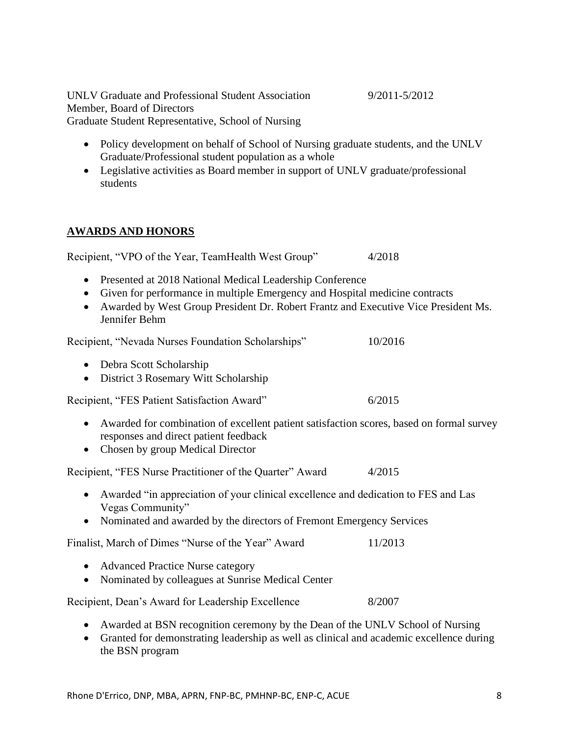UNLV Graduate and Professional Student Association 9/2011-5/2012 Member, Board of Directors Graduate Student Representative, School of Nursing

• Policy development on behalf of School of Nursing graduate students, and the UNLV Graduate/Professional student population as a whole

• Legislative activities as Board member in support of UNLV graduate/professional students

# **AWARDS AND HONORS**

• Presented at 2018 National Medical Leadership Conference

Recipient, "VPO of the Year, TeamHealth West Group" 4/2018

- Given for performance in multiple Emergency and Hospital medicine contracts
- Awarded by West Group President Dr. Robert Frantz and Executive Vice President Ms. Jennifer Behm

Recipient, "Nevada Nurses Foundation Scholarships" 10/2016

- Debra Scott Scholarship
- District 3 Rosemary Witt Scholarship

Recipient, "FES Patient Satisfaction Award" 6/2015

- Awarded for combination of excellent patient satisfaction scores, based on formal survey responses and direct patient feedback
- Chosen by group Medical Director

Recipient, "FES Nurse Practitioner of the Quarter" Award 4/2015

- Awarded "in appreciation of your clinical excellence and dedication to FES and Las Vegas Community"
- Nominated and awarded by the directors of Fremont Emergency Services

Finalist, March of Dimes "Nurse of the Year" Award 11/2013

- Advanced Practice Nurse category
- Nominated by colleagues at Sunrise Medical Center

Recipient, Dean's Award for Leadership Excellence 8/2007

- Awarded at BSN recognition ceremony by the Dean of the UNLV School of Nursing
- Granted for demonstrating leadership as well as clinical and academic excellence during the BSN program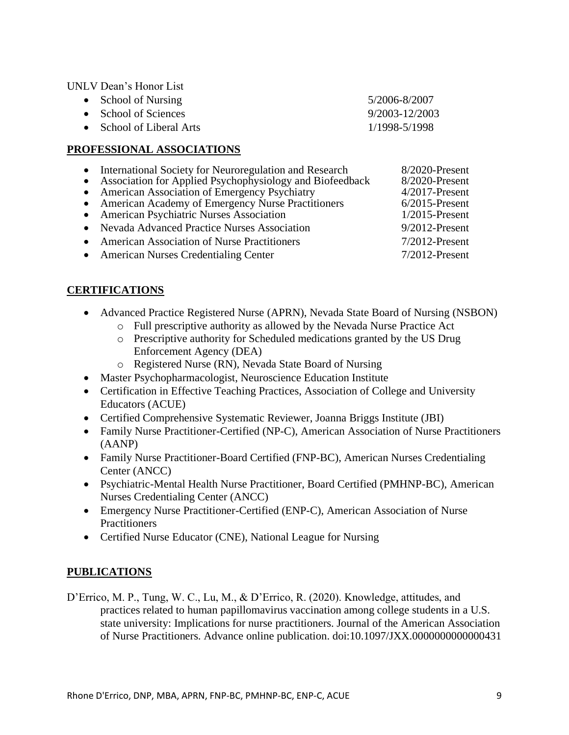UNLV Dean's Honor List

| • School of Nursing      | 5/2006-8/2007  |
|--------------------------|----------------|
| • School of Sciences     | 9/2003-12/2003 |
| • School of Liberal Arts | 1/1998-5/1998  |

#### **PROFESSIONAL ASSOCIATIONS**

- International Society for Neuroregulation and Research 8/2020-Present<br>• Association for Applied Psychophysiology and Biofeedback 8/2020-Present
- Association for Applied Psychophysiology and Biofeedback 8/2020-Present<br>• American Association of Emergency Psychiatry 4/2017-Present
- American Association of Emergency Psychiatry
- American Academy of Emergency Nurse Practitioners 6/2015-Present<br>• American Psychiatric Nurses Association 1/2015-Present
- American Psychiatric Nurses Association
- Nevada Advanced Practice Nurses Association 9/2012-Present
- American Association of Nurse Practitioners 7/2012-Present
- American Nurses Credentialing Center 7/2012-Present

## **CERTIFICATIONS**

- Advanced Practice Registered Nurse (APRN), Nevada State Board of Nursing (NSBON)
	- o Full prescriptive authority as allowed by the Nevada Nurse Practice Act
	- o Prescriptive authority for Scheduled medications granted by the US Drug Enforcement Agency (DEA)
	- o Registered Nurse (RN), Nevada State Board of Nursing
- Master Psychopharmacologist, Neuroscience Education Institute
- Certification in Effective Teaching Practices, Association of College and University Educators (ACUE)
- Certified Comprehensive Systematic Reviewer, Joanna Briggs Institute (JBI)
- Family Nurse Practitioner-Certified (NP-C), American Association of Nurse Practitioners (AANP)
- Family Nurse Practitioner-Board Certified (FNP-BC), American Nurses Credentialing Center (ANCC)
- Psychiatric-Mental Health Nurse Practitioner, Board Certified (PMHNP-BC), American Nurses Credentialing Center (ANCC)
- Emergency Nurse Practitioner-Certified (ENP-C), American Association of Nurse **Practitioners**
- Certified Nurse Educator (CNE), National League for Nursing

## **PUBLICATIONS**

D'Errico, M. P., Tung, W. C., Lu, M., & D'Errico, R. (2020). Knowledge, attitudes, and practices related to human papillomavirus vaccination among college students in a U.S. state university: Implications for nurse practitioners. Journal of the American Association of Nurse Practitioners. Advance online publication. doi:10.1097/JXX.0000000000000431